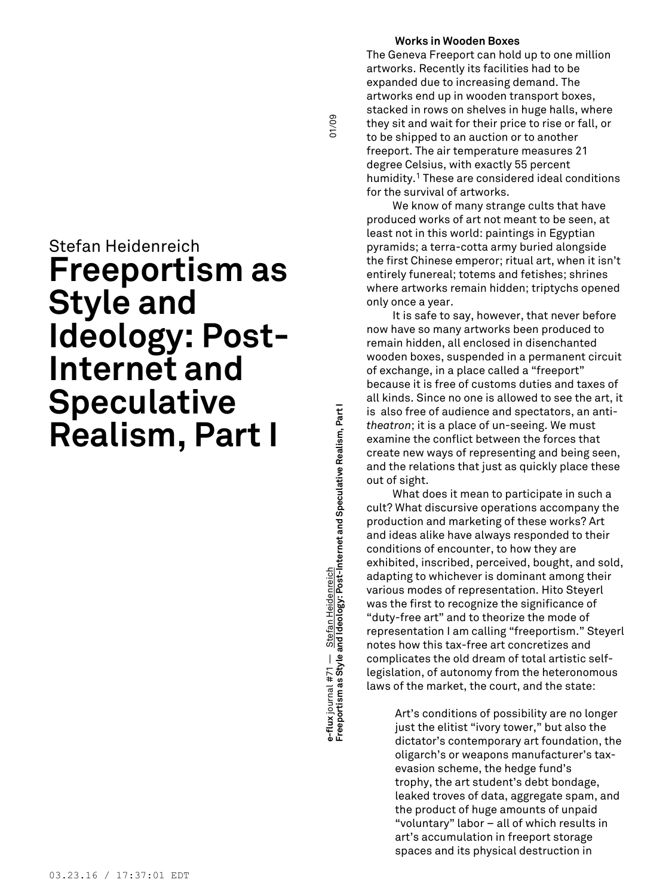# Stefan Heidenreich **Freeportism as Style and Ideology: Post-Internet and Speculative Realism, Part I**

**Freeportism as Style and Ideology: Post-Internet and Speculative Realism, Part I** 01/09 ə-flux journal #71 — <u>Stefan Heidenreich</u><br>Freeportism as Style and Ideology: Post-Internet and Speculative Realism, Part I **e-flux** journal #71 — Stefan Heidenreich

01/09

# **Works in Wooden Boxes**

The Geneva Freeport can hold up to one million artworks. Recently its facilities had to be expanded due to increasing demand. The artworks end up in wooden transport boxes, stacked in rows on shelves in huge halls, where they sit and wait for their price to rise or fall, or to be shipped to an auction or to another freeport. The air temperature measures 21 degree Celsius, with exactly 55 percent humidity. <sup>1</sup> These are considered ideal conditions for the survival of artworks.

We know of many strange cults that have produced works of art not meant to be seen, at least not in this world: paintings in Egyptian pyramids; a terra-cotta army buried alongside the first Chinese emperor; ritual art, when it isn't entirely funereal; totems and fetishes; shrines where artworks remain hidden; triptychs opened only once a year.

It is safe to say, however, that never before now have so many artworks been produced to remain hidden, all enclosed in disenchanted wooden boxes, suspended in a permanent circuit of exchange, in a place called a "freeport" because it is free of customs duties and taxes of all kinds. Since no one is allowed to see the art, it is also free of audience and spectators, an anti*theatron*; it is a place of un-seeing. We must examine the conflict between the forces that create new ways of representing and being seen, and the relations that just as quickly place these out of sight.

What does it mean to participate in such a cult? What discursive operations accompany the production and marketing of these works? Art and ideas alike have always responded to their conditions of encounter, to how they are exhibited, inscribed, perceived, bought, and sold, adapting to whichever is dominant among their various modes of representation. Hito Steyerl was the first to recognize the significance of "duty-free art" and to theorize the mode of representation I am calling "freeportism." Steyerl notes how this tax-free art concretizes and complicates the old dream of total artistic selflegislation, of autonomy from the heteronomous laws of the market, the court, and the state:

> Art's conditions of possibility are no longer just the elitist "ivory tower," but also the dictator's contemporary art foundation, the oligarch's or weapons manufacturer's taxevasion scheme, the hedge fund's trophy, the art student's debt bondage, leaked troves of data, aggregate spam, and the product of huge amounts of unpaid "voluntary" labor – all of which results in art's accumulation in freeport storage spaces and its physical destruction in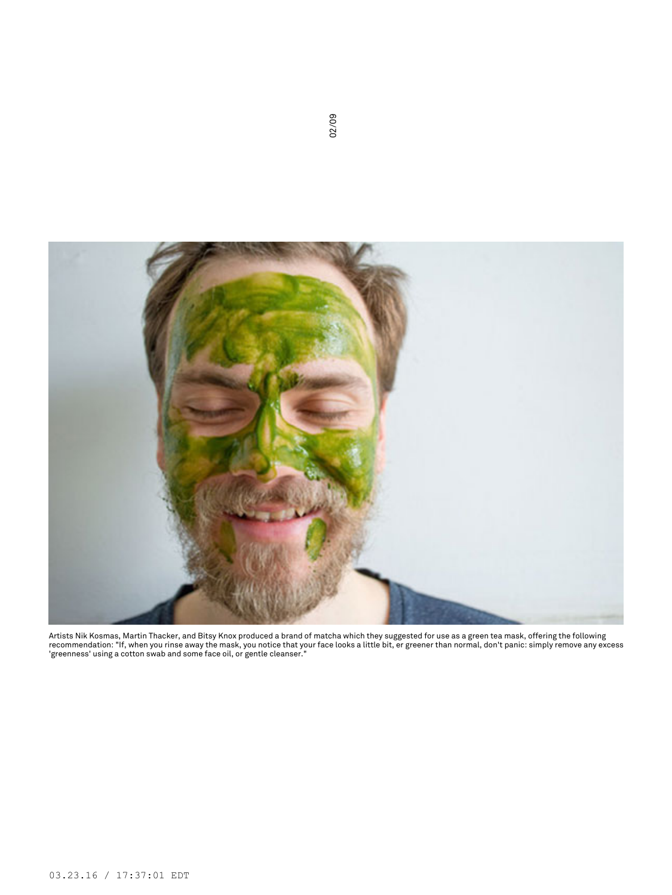

Artists Nik Kosmas, Martin Thacker, and Bitsy Knox produced a brand of matcha which they suggested for use as a green tea mask, offering the following<br>recommendation: "If, when you rinse away the mask, you notice that your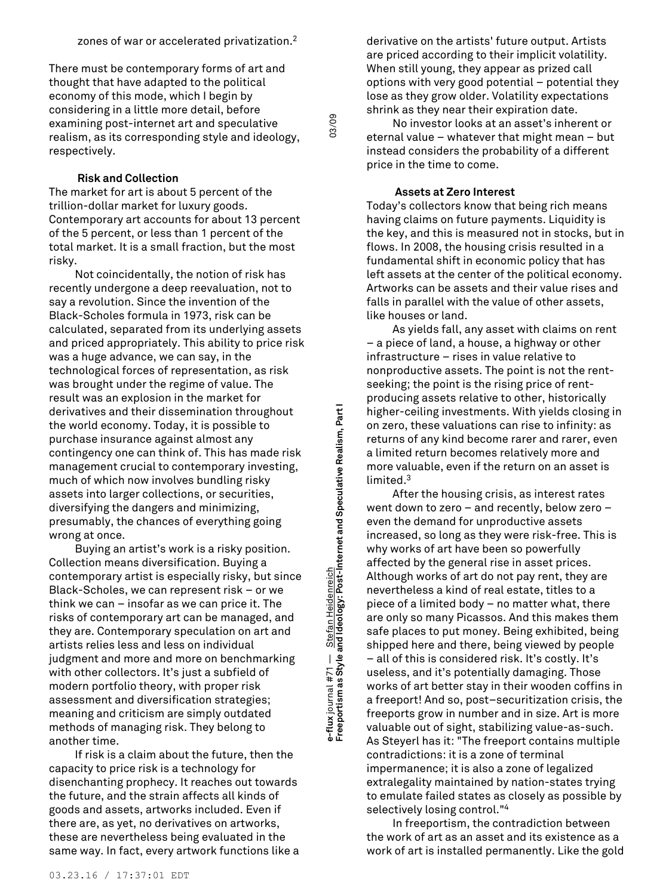There must be contemporary forms of art and thought that have adapted to the political economy of this mode, which I begin by considering in a little more detail, before examining post-internet art and speculative realism, as its corresponding style and ideology, respectively.

**Risk and Collection**

The market for art is about 5 percent of the trillion-dollar market for luxury goods. Contemporary art accounts for about 13 percent of the 5 percent, or less than 1 percent of the total market. It is a small fraction, but the most risky.

Not coincidentally, the notion of risk has recently undergone a deep reevaluation, not to say a revolution. Since the invention of the Black-Scholes formula in 1973, risk can be calculated, separated from its underlying assets and priced appropriately. This ability to price risk was a huge advance, we can say, in the technological forces of representation, as risk was brought under the regime of value. The result was an explosion in the market for derivatives and their dissemination throughout the world economy. Today, it is possible to purchase insurance against almost any contingency one can think of. This has made risk management crucial to contemporary investing, much of which now involves bundling risky assets into larger collections, or securities, diversifying the dangers and minimizing, presumably, the chances of everything going wrong at once.

Buying an artist's work is a risky position. Collection means diversification. Buying a contemporary artist is especially risky, but since Black-Scholes, we can represent risk – or we think we can – insofar as we can price it. The risks of contemporary art can be managed, and they are. Contemporary speculation on art and artists relies less and less on individual judgment and more and more on benchmarking with other collectors. It's just a subfield of modern portfolio theory, with proper risk assessment and diversification strategies; meaning and criticism are simply outdated methods of managing risk. They belong to another time.

If risk is a claim about the future, then the capacity to price risk is a technology for disenchanting prophecy. It reaches out towards the future, and the strain affects all kinds of goods and assets, artworks included. Even if there are, as yet, no derivatives on artworks, these are nevertheless being evaluated in the same way. In fact, every artwork functions like a

**Freeportism as Style and Ideology: Post-Internet and Speculative Realism, Part I** 03/09 e-flux journal #71 — Stefan Heidenreich<br>Freeportism as Style and Ideology: Post-Internet and Speculative Realism, Part I **e-flux** journal #71 — Stefan Heidenreich

03/09

derivative on the artists' future output. Artists are priced according to their implicit volatility. When still young, they appear as prized call options with very good potential – potential they lose as they grow older. Volatility expectations shrink as they near their expiration date.

No investor looks at an asset's inherent or eternal value – whatever that might mean – but instead considers the probability of a different price in the time to come.

# **Assets at Zero Interest**

Today's collectors know that being rich means having claims on future payments. Liquidity is the key, and this is measured not in stocks, but in flows. In 2008, the housing crisis resulted in a fundamental shift in economic policy that has left assets at the center of the political economy. Artworks can be assets and their value rises and falls in parallel with the value of other assets, like houses or land.

As yields fall, any asset with claims on rent – a piece of land, a house, a highway or other infrastructure – rises in value relative to nonproductive assets. The point is not the rentseeking; the point is the rising price of rentproducing assets relative to other, historically higher-ceiling investments. With yields closing in on zero, these valuations can rise to infinity: as returns of any kind become rarer and rarer, even a limited return becomes relatively more and more valuable, even if the return on an asset is limited. 3

After the housing crisis, as interest rates went down to zero – and recently, below zero – even the demand for unproductive assets increased, so long as they were risk-free. This is why works of art have been so powerfully affected by the general rise in asset prices. Although works of art do not pay rent, they are nevertheless a kind of real estate, titles to a piece of a limited body – no matter what, there are only so many Picassos. And this makes them safe places to put money. Being exhibited, being shipped here and there, being viewed by people – all of this is considered risk. It's costly. It's useless, and it's potentially damaging. Those works of art better stay in their wooden coffins in a freeport! And so, post–securitization crisis, the freeports grow in number and in size. Art is more valuable out of sight, stabilizing value-as-such. As Steyerl has it: "The freeport contains multiple contradictions: it is a zone of terminal impermanence; it is also a zone of legalized extralegality maintained by nation-states trying to emulate failed states as closely as possible by selectively losing control." 4

In freeportism, the contradiction between the work of art as an asset and its existence as a work of art is installed permanently. Like the gold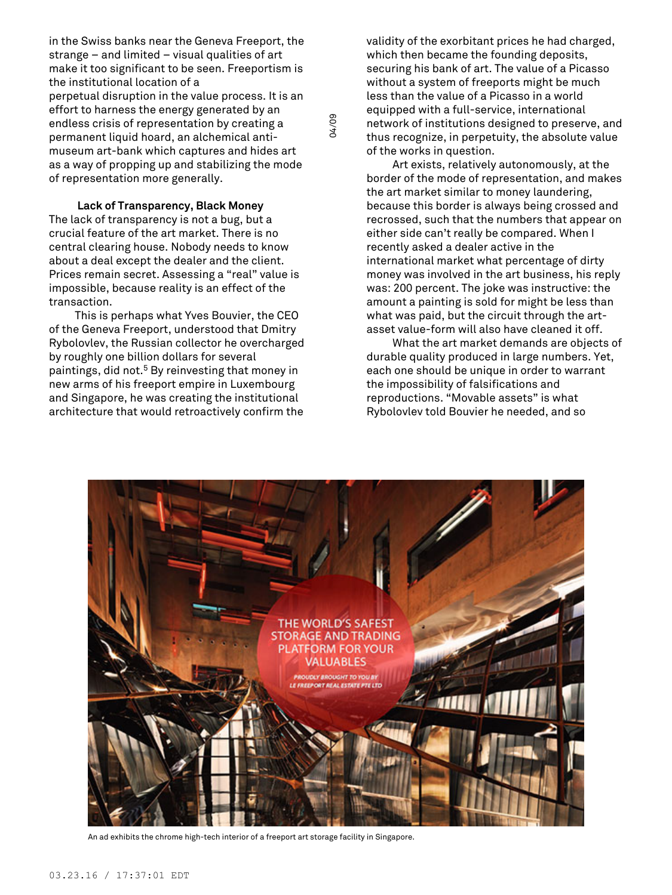in the Swiss banks near the Geneva Freeport, the strange – and limited – visual qualities of art make it too significant to be seen. Freeportism is the institutional location of a perpetual disruption in the value process. It is an effort to harness the energy generated by an endless crisis of representation by creating a permanent liquid hoard, an alchemical antimuseum art-bank which captures and hides art as a way of propping up and stabilizing the mode of representation more generally.

**Lack of Transparency, Black Money** The lack of transparency is not a bug, but a crucial feature of the art market. There is no central clearing house. Nobody needs to know about a deal except the dealer and the client. Prices remain secret. Assessing a "real" value is impossible, because reality is an effect of the transaction.

This is perhaps what Yves Bouvier, the CEO of the Geneva Freeport, understood that Dmitry Rybolovlev, the Russian collector he overcharged by roughly one billion dollars for several paintings, did not. <sup>5</sup> By reinvesting that money in new arms of his freeport empire in Luxembourg and Singapore, he was creating the institutional architecture that would retroactively confirm the

validity of the exorbitant prices he had charged, which then became the founding deposits, securing his bank of art. The value of a Picasso without a system of freeports might be much less than the value of a Picasso in a world equipped with a full-service, international network of institutions designed to preserve, and thus recognize, in perpetuity, the absolute value of the works in question.

Art exists, relatively autonomously, at the border of the mode of representation, and makes the art market similar to money laundering, because this border is always being crossed and recrossed, such that the numbers that appear on either side can't really be compared. When I recently asked a dealer active in the international market what percentage of dirty money was involved in the art business, his reply was: 200 percent. The joke was instructive: the amount a painting is sold for might be less than what was paid, but the circuit through the artasset value-form will also have cleaned it off.

What the art market demands are objects of durable quality produced in large numbers. Yet, each one should be unique in order to warrant the impossibility of falsifications and reproductions. "Movable assets" is what Rybolovlev told Bouvier he needed, and so



An ad exhibits the chrome high-tech interior of a freeport art storage facility in Singapore.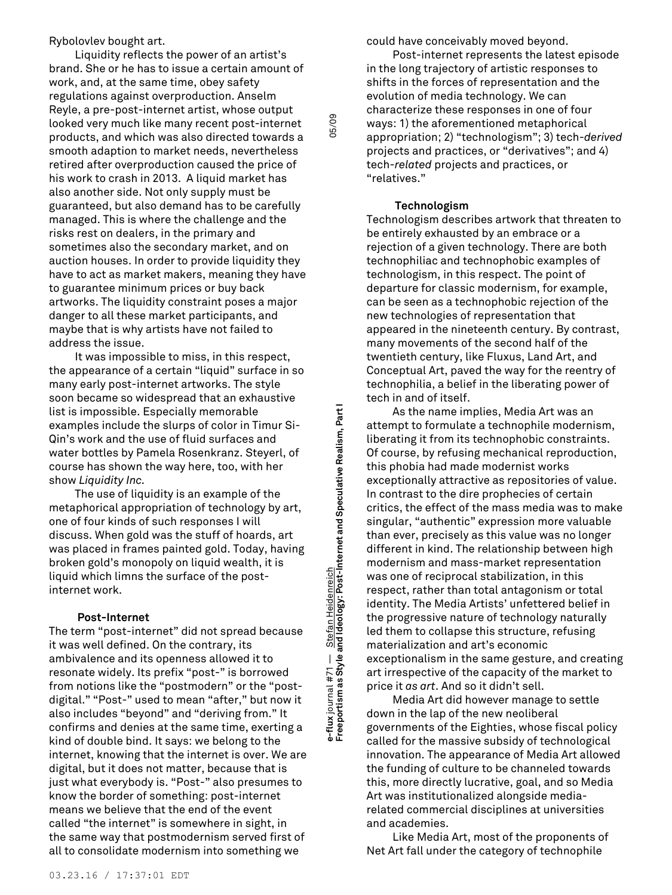Rybolovlev bought art.

Liquidity reflects the power of an artist's brand. She or he has to issue a certain amount of work, and, at the same time, obey safety regulations against overproduction. Anselm Reyle, a pre-post-internet artist, whose output looked very much like many recent post-internet products, and which was also directed towards a smooth adaption to market needs, nevertheless retired after overproduction caused the price of his work to crash in 2013. A liquid market has also another side. Not only supply must be guaranteed, but also demand has to be carefully managed. This is where the challenge and the risks rest on dealers, in the primary and sometimes also the secondary market, and on auction houses. In order to provide liquidity they have to act as market makers, meaning they have to guarantee minimum prices or buy back artworks. The liquidity constraint poses a major danger to all these market participants, and maybe that is why artists have not failed to address the issue.

It was impossible to miss, in this respect, the appearance of a certain "liquid" surface in so many early post-internet artworks. The style soon became so widespread that an exhaustive list is impossible. Especially memorable examples include the slurps of color in Timur Si-Qin's work and the use of fluid surfaces and water bottles by Pamela Rosenkranz. Steyerl, of course has shown the way here, too, with her show *Liquidity Inc.*

The use of liquidity is an example of the metaphorical appropriation of technology by art, one of four kinds of such responses I will discuss. When gold was the stuff of hoards, art was placed in frames painted gold. Today, having broken gold's monopoly on liquid wealth, it is liquid which limns the surface of the postinternet work.

# **Post-Internet**

The term "post-internet" did not spread because it was well defined. On the contrary, its ambivalence and its openness allowed it to resonate widely. Its prefix "post-" is borrowed from notions like the "postmodern" or the "postdigital." "Post-" used to mean "after," but now it also includes "beyond" and "deriving from." It confirms and denies at the same time, exerting a kind of double bind. It says: we belong to the internet, knowing that the internet is over. We are digital, but it does not matter, because that is just what everybody is. "Post-" also presumes to know the border of something: post-internet means we believe that the end of the event called "the internet" is somewhere in sight, in the same way that postmodernism served first of all to consolidate modernism into something we

could have conceivably moved beyond.

Post-internet represents the latest episode in the long trajectory of artistic responses to shifts in the forces of representation and the evolution of media technology. We can characterize these responses in one of four ways: 1) the aforementioned metaphorical appropriation; 2) "technologism"; 3) tech-*derived* projects and practices, or "derivatives"; and 4) tech-*related* projects and practices, or "relatives."

# **Technologism**

Technologism describes artwork that threaten to be entirely exhausted by an embrace or a rejection of a given technology. There are both technophiliac and technophobic examples of technologism, in this respect. The point of departure for classic modernism, for example, can be seen as a technophobic rejection of the new technologies of representation that appeared in the nineteenth century. By contrast, many movements of the second half of the twentieth century, like Fluxus, Land Art, and Conceptual Art, paved the way for the reentry of technophilia, a belief in the liberating power of tech in and of itself.

As the name implies, Media Art was an attempt to formulate a technophile modernism, liberating it from its technophobic constraints. Of course, by refusing mechanical reproduction, this phobia had made modernist works exceptionally attractive as repositories of value. In contrast to the dire prophecies of certain critics, the effect of the mass media was to make singular, "authentic" expression more valuable than ever, precisely as this value was no longer different in kind. The relationship between high modernism and mass-market representation was one of reciprocal stabilization, in this respect, rather than total antagonism or total identity. The Media Artists' unfettered belief in the progressive nature of technology naturally led them to collapse this structure, refusing materialization and art's economic exceptionalism in the same gesture, and creating art irrespective of the capacity of the market to price it *as art*. And so it didn't sell.

Media Art did however manage to settle down in the lap of the new neoliberal governments of the Eighties, whose fiscal policy called for the massive subsidy of technological innovation. The appearance of Media Art allowed the funding of culture to be channeled towards this, more directly lucrative, goal, and so Media Art was institutionalized alongside mediarelated commercial disciplines at universities and academies.

Like Media Art, most of the proponents of Net Art fall under the category of technophile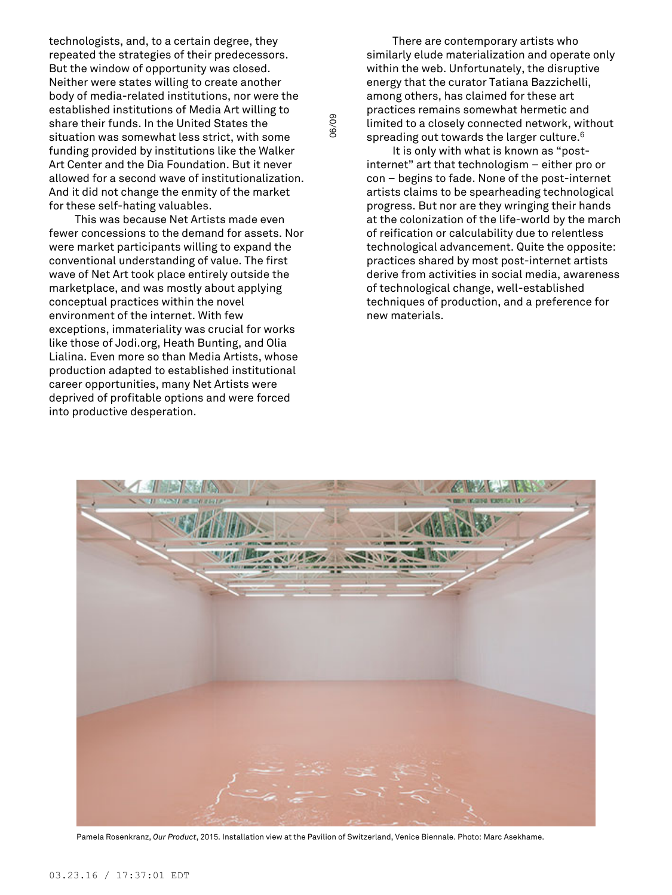technologists, and, to a certain degree, they repeated the strategies of their predecessors. But the window of opportunity was closed. Neither were states willing to create another body of media-related institutions, nor were the established institutions of Media Art willing to share their funds. In the United States the situation was somewhat less strict, with some funding provided by institutions like the Walker Art Center and the Dia Foundation. But it never allowed for a second wave of institutionalization. And it did not change the enmity of the market for these self-hating valuables.

This was because Net Artists made even fewer concessions to the demand for assets. Nor were market participants willing to expand the conventional understanding of value. The first wave of Net Art took place entirely outside the marketplace, and was mostly about applying conceptual practices within the novel environment of the internet. With few exceptions, immateriality was crucial for works like those of Jodi.org, Heath Bunting, and Olia Lialina. Even more so than Media Artists, whose production adapted to established institutional career opportunities, many Net Artists were deprived of profitable options and were forced into productive desperation.

There are contemporary artists who similarly elude materialization and operate only within the web. Unfortunately, the disruptive energy that the curator Tatiana Bazzichelli, among others, has claimed for these art practices remains somewhat hermetic and limited to a closely connected network, without spreading out towards the larger culture. $^6$ 

It is only with what is known as "postinternet" art that technologism – either pro or con – begins to fade. None of the post-internet artists claims to be spearheading technological progress. But nor are they wringing their hands at the colonization of the life-world by the march of reification or calculability due to relentless technological advancement. Quite the opposite: practices shared by most post-internet artists derive from activities in social media, awareness of technological change, well-established techniques of production, and a preference for new materials.



Pamela Rosenkranz, *Our Product*, 2015. Installation view at the Pavilion of Switzerland, Venice Biennale. Photo: Marc Asekhame.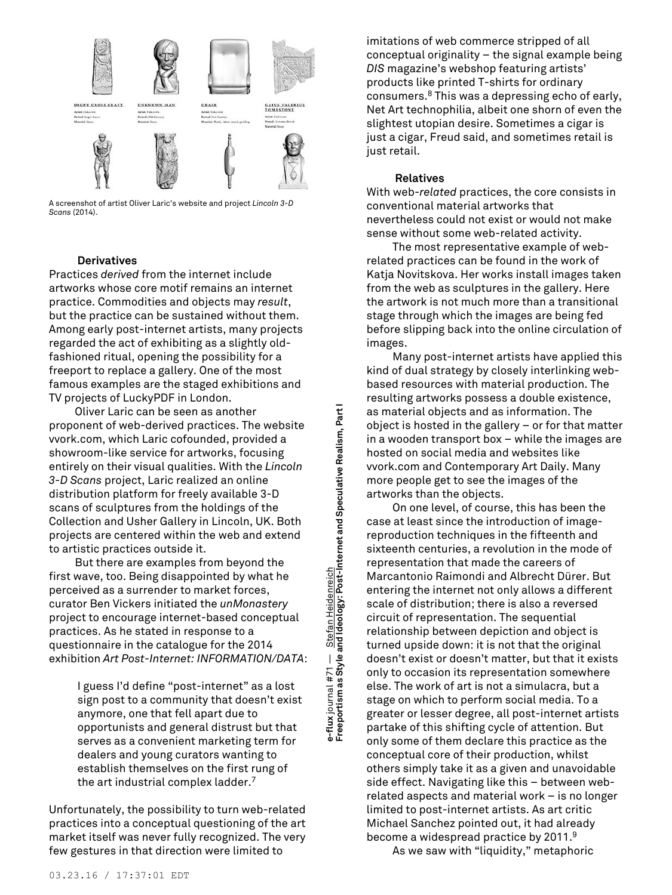

A screenshot of artist Oliver Laric's website and project *Lincoln 3-D Scans* (2014).

# **Derivatives**

Practices *derived* from the internet include artworks whose core motif remains an internet practice. Commodities and objects may *result*, but the practice can be sustained without them. Among early post-internet artists, many projects regarded the act of exhibiting as a slightly oldfashioned ritual, opening the possibility for a freeport to replace a gallery. One of the most famous examples are the staged exhibitions and TV projects of LuckyPDF in London.

Oliver Laric can be seen as another proponent of web-derived practices. The website vvork.com, which Laric cofounded, provided a showroom-like service for artworks, focusing entirely on their visual qualities. With the *Lincoln 3-D Scans* project, Laric realized an online distribution platform for freely available 3-D scans of sculptures from the holdings of the Collection and Usher Gallery in Lincoln, UK. Both projects are centered within the web and extend to artistic practices outside it.

But there are examples from beyond the first wave, too. Being disappointed by what he perceived as a surrender to market forces, curator Ben Vickers initiated the *unMonastery* project to encourage internet-based conceptual practices. As he stated in response to a questionnaire in the catalogue for the 2014 exhibition *Art Post-Internet: INFORMATION/DATA*:

> I guess I'd define "post-internet" as a lost sign post to a community that doesn't exist anymore, one that fell apart due to opportunists and general distrust but that serves as a convenient marketing term for dealers and young curators wanting to establish themselves on the first rung of the art industrial complex ladder. 7

Unfortunately, the possibility to turn web-related practices into a conceptual questioning of the art market itself was never fully recognized. The very few gestures in that direction were limited to

e-flux journal #71 — S<u>tefan Heidenreich</u><br>Freeportism as Style and Ideology: Post-Internet and Speculative Realism, Part I **Freeportism as Style and Ideology: Post-Internet and Speculative Realism, Part I e-flux** journal #71 — Stefan Heidenreich

imitations of web commerce stripped of all conceptual originality – the signal example being *DIS* magazine's webshop featuring artists' products like printed T-shirts for ordinary consumers. <sup>8</sup> This was a depressing echo of early, Net Art technophilia, albeit one shorn of even the slightest utopian desire. Sometimes a cigar is just a cigar, Freud said, and sometimes retail is just retail.

## **Relatives**

With web-*related* practices, the core consists in conventional material artworks that nevertheless could not exist or would not make sense without some web-related activity.

The most representative example of webrelated practices can be found in the work of Katja Novitskova. Her works install images taken from the web as sculptures in the gallery. Here the artwork is not much more than a transitional stage through which the images are being fed before slipping back into the online circulation of images.

Many post-internet artists have applied this kind of dual strategy by closely interlinking webbased resources with material production. The resulting artworks possess a double existence, as material objects and as information. The object is hosted in the gallery – or for that matter in a wooden transport box – while the images are hosted on social media and websites like vvork.com and Contemporary Art Daily. Many more people get to see the images of the artworks than the objects.

On one level, of course, this has been the case at least since the introduction of imagereproduction techniques in the fifteenth and sixteenth centuries, a revolution in the mode of representation that made the careers of Marcantonio Raimondi and Albrecht Dürer. But entering the internet not only allows a different scale of distribution; there is also a reversed circuit of representation. The sequential relationship between depiction and object is turned upside down: it is not that the original doesn't exist or doesn't matter, but that it exists only to occasion its representation somewhere else. The work of art is not a simulacra, but a stage on which to perform social media. To a greater or lesser degree, all post-internet artists partake of this shifting cycle of attention. But only some of them declare this practice as the conceptual core of their production, whilst others simply take it as a given and unavoidable side effect. Navigating like this – between webrelated aspects and material work – is no longer limited to post-internet artists. As art critic Michael Sanchez pointed out, it had already become a widespread practice by 2011. 9

As we saw with "liquidity," metaphoric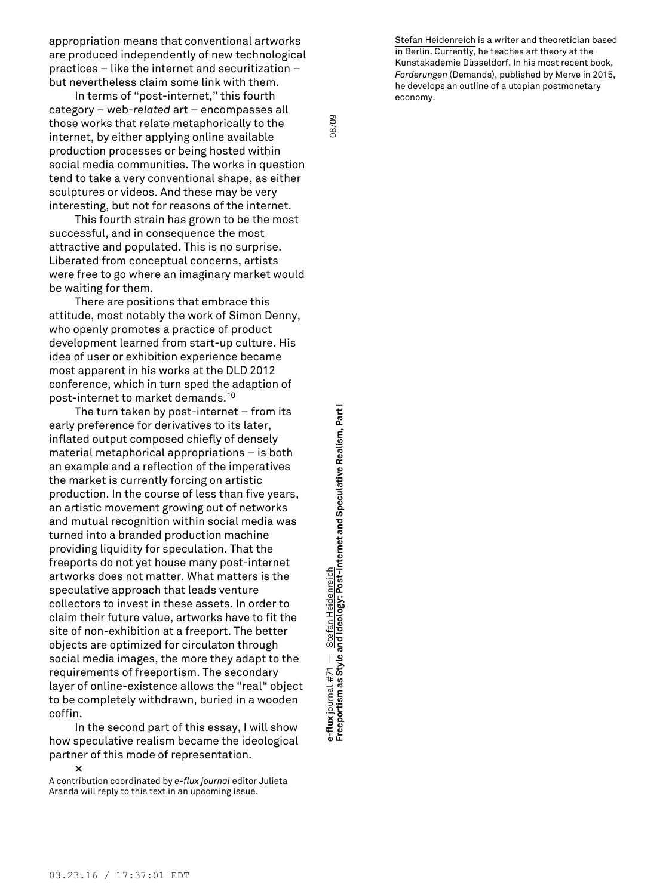appropriation means that conventional artworks are produced independently of new technological practices – like the internet and securitization – but nevertheless claim some link with them.

In terms of "post-internet," this fourth category – web-*related* art – encompasses all those works that relate metaphorically to the internet, by either applying online available production processes or being hosted within social media communities. The works in question tend to take a very conventional shape, as either sculptures or videos. And these may be very interesting, but not for reasons of the internet.

This fourth strain has grown to be the most successful, and in consequence the most attractive and populated. This is no surprise. Liberated from conceptual concerns, artists were free to go where an imaginary market would be waiting for them.

There are positions that embrace this attitude, most notably the work of Simon Denny, who openly promotes a practice of product development learned from start-up culture. His idea of user or exhibition experience became most apparent in his works at the DLD 2012 conference, which in turn sped the adaption of post-internet to market demands. 10

The turn taken by post-internet – from its early preference for derivatives to its later, inflated output composed chiefly of densely material metaphorical appropriations – is both an example and a reflection of the imperatives the market is currently forcing on artistic production. In the course of less than five years, an artistic movement growing out of networks and mutual recognition within social media was turned into a branded production machine providing liquidity for speculation. That the freeports do not yet house many post-internet artworks does not matter. What matters is the speculative approach that leads venture collectors to invest in these assets. In order to claim their future value, artworks have to fit the site of non-exhibition at a freeport. The better objects are optimized for circulaton through social media images, the more they adapt to the requirements of freeportism. The secondary layer of online-existence allows the "real" object to be completely withdrawn, buried in a wooden coffin.

In the second part of this essay, I will show how speculative realism became the ideological partner of this mode of representation.

**×**

A contribution coordinated by *e-flux journal* editor Julieta Aranda will reply to this text in an upcoming issue.

**Freeportism as Style and Ideology: Post-Internet and Speculative Realism, Part I** 08/09 e-flux journal #71 — <u>Stefan Heidenreich</u><br>Freeportism as Style and Ideology: Post-Internet and Speculative Realism, Part I Stefan Heidenreich **e-flux** journal #71 — Stefan Heidenreich

08/09

Stefan Heidenreich is a writer and theoretician based in Berlin. Currently, he teaches art theory at the Kunstakademie Düsseldorf. In his most recent book, *Forderungen* (Demands), published by Merve in 2015, he develops an outline of a utopian postmonetary economy.